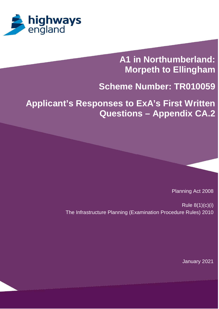

# **A1 in Northumberland: Morpeth to Ellingham**

## **Scheme Number: TR010059**

**Applicant's Responses to ExA's First Written Questions – Appendix CA.2**

Planning Act 2008

Rule 8(1)(c)(i) The Infrastructure Planning (Examination Procedure Rules) 2010

January 2021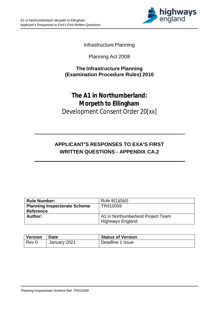

Infrastructure Planning

Planning Act 2008

#### **The Infrastructure Planning (Examination Procedure Rules) 2010**

### **The A1 in Northumberland: Morpeth to Ellingham** Development Consent Order 20[xx]

### **APPLICANT'S RESPONSES TO EXA'S FIRST WRITTEN QUESTIONS - APPENDIX CA.2**

| <b>Rule Number:</b>                 | Rule $8(1)(b)(i)$                 |
|-------------------------------------|-----------------------------------|
| <b>Planning Inspectorate Scheme</b> | TR010059                          |
| <b>Reference</b>                    |                                   |
| Author:                             | A1 in Northumberland Project Team |
|                                     | <b>Highways England</b>           |

| Version | ∣ Date       | <b>Status of Version</b> |
|---------|--------------|--------------------------|
| $Rev$ 0 | January 2021 | Deadline 1 issue         |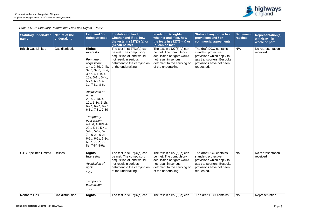| <b>Statutory undertaker</b><br>name | Nature of the<br>undertaking | Land and / or<br>rights affected                                                                                                                                                                                                                                                                                                                                                                                                                                                            | In relation to land,<br>whether and if so, how<br>the tests in $s127(3)$ (a) or<br>(b) can be met                                                                   | In relation to rights,<br>whether and if so, how<br>the tests in $s127(6)$ (a) or<br>(b) can be met                                                                   | <b>Status of any protective</b><br>provisions and / or<br>commercial agreements                                                                   | <b>Settlement</b><br>reached | <b>Representation(s)</b><br>withdrawn in<br>whole or part |
|-------------------------------------|------------------------------|---------------------------------------------------------------------------------------------------------------------------------------------------------------------------------------------------------------------------------------------------------------------------------------------------------------------------------------------------------------------------------------------------------------------------------------------------------------------------------------------|---------------------------------------------------------------------------------------------------------------------------------------------------------------------|-----------------------------------------------------------------------------------------------------------------------------------------------------------------------|---------------------------------------------------------------------------------------------------------------------------------------------------|------------------------------|-----------------------------------------------------------|
| <b>British Gas Limited</b>          | Gas distribution             | <b>Rights</b><br>interests:<br>Permanent<br>acquisition:<br>1-4c, 2-3d, 2-4b,<br>$3-3b$ , $3-3c$ , $3-6a$ ,<br>3-6b, 4-10b, 4-<br>10e, 5-1g, 5-4c,<br>5-7a, 6-2a, 6-<br>3a, 7-8a, 8-6b<br>Acquisition of<br>rights:<br>$2-3c$ , $2-4a$ , $4-$<br>10c, $5-1c$ , $5-1h$ ,<br>6-2b, 6-2o, 6-2r,<br>6-3b, 7-8c, 7-8d<br><b>Temporary</b><br>possession:<br>4-10a, 4-10d, 4-<br>22b, 5-1f, 5-4a,<br>5-4d, 5-6a, 5-<br>7b, 6-2d, 6-2p,<br>$6-2q, 6-2s, 6-3c,$<br>6-3d, 7-8b, 7-<br>8e, 7-8f, 8-6a | The test in $s127(3)(a)$ can<br>be met. The compulsory<br>acquisition of land would<br>not result in serious<br>detriment to the carrying on<br>of the undertaking. | The test in $s127(6)(a)$ can<br>be met. The compulsory<br>acquisition of rights would<br>not result in serious<br>detriment to the carrying on<br>of the undertaking. | The draft DCO contains<br>standard protective<br>provisions which apply to<br>gas transporters. Bespoke<br>provisions have not been<br>requested. | N/A                          | No representation<br>received                             |
| <b>GTC Pipelines Limited</b>        | <b>Utilities</b>             | <b>Rights</b><br>interests:<br>Acquisition of<br>rights:<br>$1-5a$<br><b>Temporary</b><br>possession:<br>$1-5b$                                                                                                                                                                                                                                                                                                                                                                             | The test in $s127(3)(a)$ can<br>be met. The compulsory<br>acquisition of land would<br>not result in serious<br>detriment to the carrying on<br>of the undertaking. | The test in $s127(6)(a)$ can<br>be met. The compulsory<br>acquisition of rights would<br>not result in serious<br>detriment to the carrying on<br>of the undertaking. | The draft DCO contains<br>standard protective<br>provisions which apply to<br>gas transporters. Bespoke<br>provisions have not been<br>requested. | <b>No</b>                    | No representation<br>received                             |
| Northern Gas                        | Gas distribution             | <b>Rights</b>                                                                                                                                                                                                                                                                                                                                                                                                                                                                               | The test in $s127(3)(a)$ can                                                                                                                                        | The test in $s127(6)(a)$ can                                                                                                                                          | The draft DCO contains                                                                                                                            | No                           | Representation                                            |

*Table 1 S127 Statutory Undertakers Land and Rights - Part A*

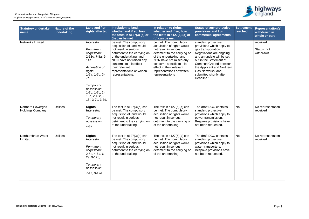| <b>Statutory undertaker</b><br>name           | Nature of the<br>undertaking | Land and / or<br>rights affected                                                                                                                                                                                    | In relation to land,<br>whether and if so, how<br>the tests in $s127(3)$ (a) or<br>(b) can be met                                                                                                                                                                    | In relation to rights,<br>whether and if so, how<br>the tests in $s127(6)$ (a) or<br>(b) can be met                                                                                                                                                                            | <b>Status of any protective</b><br>provisions and / or<br>commercial agreements                                                                                                                                                                                                   | <b>Settlement</b><br>reached | <b>Representation(s)</b><br>withdrawn in<br>whole or part |
|-----------------------------------------------|------------------------------|---------------------------------------------------------------------------------------------------------------------------------------------------------------------------------------------------------------------|----------------------------------------------------------------------------------------------------------------------------------------------------------------------------------------------------------------------------------------------------------------------|--------------------------------------------------------------------------------------------------------------------------------------------------------------------------------------------------------------------------------------------------------------------------------|-----------------------------------------------------------------------------------------------------------------------------------------------------------------------------------------------------------------------------------------------------------------------------------|------------------------------|-----------------------------------------------------------|
| <b>Networks Limited</b>                       |                              | interests:<br>Permanent<br>acquisition:<br>2-13c, 7-8a, 9-<br>14a<br>Acquisition of<br>rights:<br>$1-7a$ , $1-7d$ , $3-$<br>7b,<br>Temporary<br>possession:<br>1-7b, 1-7c, 2-<br>13d, 2-13e, 2-<br>13f, 3-7c, 3-7d, | be met. The compulsory<br>acquisition of land would<br>not result in serious<br>detriment to the carrying on<br>of the undertaking, and<br>NGN have not raised any<br>concerns to this effect in<br>their relevant<br>representations or written<br>representations. | be met. The compulsory<br>acquisition of rights would<br>not result in serious<br>detriment to the carrying on<br>of the undertaking, and<br>NGN have not raised any<br>concerns specific to this<br>effect in their relevant<br>representations or written<br>representations | standard protective<br>provisions which apply to<br>gas transportation.<br>Negotiations are ongoing<br>and an update will be set<br>out in the Statement of<br>Common Ground between<br>the Applicant and Northern<br>Gas Networks, and<br>submitted shortly after<br>Deadline 1. |                              | received.<br>Status: not<br>withdrawn                     |
| Northern Powergrid<br><b>Holdings Company</b> | <b>Utilities</b>             | <b>Rights</b><br>interests:<br>Temporary<br>possession:<br>$4-3a$                                                                                                                                                   | The test in $s127(3)(a)$ can<br>be met. The compulsory<br>acquisition of land would<br>not result in serious<br>detriment to the carrying on<br>of the undertaking.                                                                                                  | The test in $s127(6)(a)$ can<br>be met. The compulsory<br>acquisition of rights would<br>not result in serious<br>detriment to the carrying on<br>of the undertaking.                                                                                                          | The draft DCO contains<br>standard protective<br>provisions which apply to<br>power transmission.<br>Bespoke provisions have<br>not been requested.                                                                                                                               | <b>No</b>                    | No representation<br>received                             |
| Northumbrian Water<br>Limited                 | <b>Utilities</b>             | <b>Rights</b><br>interests:<br>Permanent<br>acquisition:<br>$2-5b$ , $4-6a$ , $6-$<br>2a, 9-17b,<br>Temporary<br>possession:<br>7-1a, 9-17d                                                                         | The test in $s127(3)(a)$ can<br>be met. The compulsory<br>acquisition of land would<br>not result in serious<br>detriment to the carrying on<br>of the undertaking.                                                                                                  | The test in $s127(6)(a)$ can<br>be met. The compulsory<br>acquisition of rights would<br>not result in serious<br>detriment to the carrying on<br>of the undertaking.                                                                                                          | The draft DCO contains<br>standard protective<br>provisions which apply to<br>water transporters.<br>Bespoke provisions have<br>not been requested.                                                                                                                               | <b>No</b>                    | No representation<br>received                             |

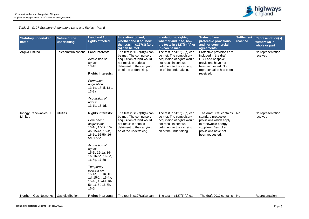| <b>Statutory undertaker</b><br>name | Nature of the<br>undertaking | Land and / or<br>rights affected                                                                                                                                                                                                                                                                                                                    | In relation to land,<br>whether and if so, how<br>the tests in s127(3) (a) or<br>(b) can be met                                                                     | In relation to rights,<br>whether and if so, how<br>the tests in $s127(6)$ (a) or<br>(b) can be met                                                                   | <b>Status of any</b><br>protective provisions<br>and / or commercial<br>agreements                                                                             | <b>Settlement</b><br>reached | <b>Representation(s)</b><br>withdrawn in<br>whole or part |
|-------------------------------------|------------------------------|-----------------------------------------------------------------------------------------------------------------------------------------------------------------------------------------------------------------------------------------------------------------------------------------------------------------------------------------------------|---------------------------------------------------------------------------------------------------------------------------------------------------------------------|-----------------------------------------------------------------------------------------------------------------------------------------------------------------------|----------------------------------------------------------------------------------------------------------------------------------------------------------------|------------------------------|-----------------------------------------------------------|
| Arqiva Limited                      | Telecommunications           | <b>Land interests:</b><br>Acquisition of<br>rights:<br>$13-1h$<br><b>Rights interests:</b><br>Permanent<br>acquisition:<br>13-1g, 13-1i, 13-1j,<br>$13-3a$<br>Acquisition of<br>rights:<br>13-1b, 13-1d,                                                                                                                                            | The test in $s127(3)(a)$ can<br>be met. The compulsory<br>acquisition of land would<br>not result in serious<br>detriment to the carrying<br>on of the undertaking. | The test in $s127(6)(a)$ can<br>be met. The compulsory<br>acquisition of rights would<br>not result in serious<br>detriment to the carrying<br>on of the undertaking. | Protective provisions are<br>included in the draft<br>DCO and bespoke<br>provisions have not<br>been requested. No<br>representation has been<br>received.     |                              | No representation<br>received                             |
| Innogy Renewables UK<br>Limited     | <b>Utilities</b>             | <b>Rights interests:</b><br>Permanent<br>acquisition:<br>15-1c, 15-1k, 15-<br>4b, 15-4e, 15-4f,<br>16-1c, 16-5b, 16-<br>5d, 17-5b<br>Acquisition of<br>rights:<br>15-1j, 16-1a, 16-<br>1b, 16-5a, 16-5e,<br>16-5g, 17-5a<br>Temporary<br>possession:<br>15-1a, 15-1b, 15-<br>1d, 15-1h, 15-4a,<br>15-4c, 15-4d, 16-<br>5c, 16-5f, 16-5h,<br>$16-5i$ | The test in $s127(3)(a)$ can<br>be met. The compulsory<br>acquisition of land would<br>not result in serious<br>detriment to the carrying<br>on of the undertaking. | The test in $s127(6)(a)$ can<br>be met. The compulsory<br>acquisition of rights would<br>not result in serious<br>detriment to the carrying<br>on of the undertaking. | The draft DCO contains<br>standard protective<br>provisions which apply<br>to renewable energy<br>suppliers. Bespoke<br>provisions have not<br>been requested. | No                           | No representation<br>received                             |
| Northern Gas Networks               | <b>Gas distribution</b>      | <b>Rights interests:</b>                                                                                                                                                                                                                                                                                                                            | The test in $s127(3)(a)$ can                                                                                                                                        | The test in $s127(6)(a)$ can                                                                                                                                          | The draft DCO contains   No                                                                                                                                    |                              | Representation                                            |

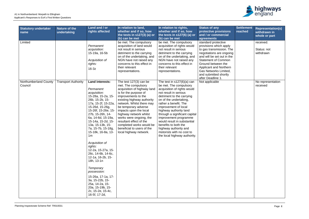| <b>Statutory undertaker</b><br>name | <b>Nature of the</b><br>undertaking | Land and / or<br>rights affected                                                                                                                                                                                                                                                                                                                                                                                                                                                                                                                                              | In relation to land,<br>whether and if so, how<br>the tests in s127(3) (a) or<br>(b) can be met                                                                                                                                                                                                                                                                                                                 | In relation to rights,<br>whether and if so, how<br>the tests in s127(6) (a) or<br>(b) can be met                                                                                                                                                                                                                                                                                                                                                       | <b>Status of any</b><br>protective provisions<br>and / or commercial<br>agreements                                                                                                                                                                                                              | <b>Settlement</b><br>reached | <b>Representation(s)</b><br>withdrawn in<br>whole or part |
|-------------------------------------|-------------------------------------|-------------------------------------------------------------------------------------------------------------------------------------------------------------------------------------------------------------------------------------------------------------------------------------------------------------------------------------------------------------------------------------------------------------------------------------------------------------------------------------------------------------------------------------------------------------------------------|-----------------------------------------------------------------------------------------------------------------------------------------------------------------------------------------------------------------------------------------------------------------------------------------------------------------------------------------------------------------------------------------------------------------|---------------------------------------------------------------------------------------------------------------------------------------------------------------------------------------------------------------------------------------------------------------------------------------------------------------------------------------------------------------------------------------------------------------------------------------------------------|-------------------------------------------------------------------------------------------------------------------------------------------------------------------------------------------------------------------------------------------------------------------------------------------------|------------------------------|-----------------------------------------------------------|
| Limited                             |                                     | Permanent<br>acquisition:<br>15-19a, 16-5b<br>Acquisition of<br>rights:<br>$16-3z$                                                                                                                                                                                                                                                                                                                                                                                                                                                                                            | be met. The compulsory<br>acquisition of land would<br>not result in serious<br>detriment to the carrying<br>on of the undertaking, and<br>NGN have not raised any<br>concerns to this effect in<br>their relevant<br>representations.                                                                                                                                                                          | be met. The compulsory<br>acquisition of rights would<br>not result in serious<br>detriment to the carrying<br>on of the undertaking, and<br>NGN have not raised any<br>concerns to this effect in<br>their relevant<br>representations.                                                                                                                                                                                                                | standard protective<br>provisions which apply<br>to gas transmission. The<br>negotiations are ongoing<br>and will be set out in the<br><b>Statement of Common</b><br>Ground between the<br>Applicant and Northern<br><b>Gas Networks Limited,</b><br>and submitted shortly<br>after Deadline 1. |                              | received.<br>Status: not<br>withdrawn                     |
| Northumberland County<br>Council    | <b>Transport Authority</b>          | <b>Land interests:</b><br>Permanent<br>acquisition:<br>15-28a, 15-2a, 15-<br>26b, 15-2b, 15-<br>17a, 15-2f, 15-22a,<br>15-26d, 15-26g,<br>15-26f, 15-26e, 15-<br>27b, 15-26h, 14-<br>6a, 14-6d, 15-19a,<br>15-14a, 15-2d, 15-<br>13a, 15-13b, 15-<br>7a, 15-7b, 15-18g,<br>15-18k, 16-8a, 13-<br>1 <sub>m</sub><br>Acquisition of<br>rights:<br>12-2a, 15-27a, 15-<br>26c, 14-6b, 14-6c,<br>12-1a, 16-2b, 15-<br>18h, 13-1n<br>Temporary<br>possession:<br>15-26a, 17-1a, 17-<br>3a, 15-22b, 15-<br>25a, 14-2a, 15-<br>20a, 15-19b, 15-<br>2c, 15-2e, 15-4c,<br>16-5f, 17-2d, | The test $127(3)$ can be<br>met. The compulsory<br>acquisition of highway land<br>is for the purpose of<br>improvements to the<br>existing highway authority<br>network. Whilst there may<br>be temporary adverse<br>impacts upon the local<br>highway network whilst<br>works were ongoing, the<br>resultant effect of the<br>completed works would be<br>beneficial to users of the<br>local highway network. | The test in $s127(6)(a)$ can<br>be met. The compulsory<br>acquisition of rights would<br>not result in serious<br>detriment to the carrying<br>on of the undertaking,<br>rather a benefit. The<br>improvement of local<br>highway authority land<br>through a significant capital<br>improvement programme<br>would result in substantial<br>benefits to both the<br>highway authority and<br>motorists with no cost to<br>the local highway authority. | Not applicable                                                                                                                                                                                                                                                                                  |                              | No representation<br>received                             |